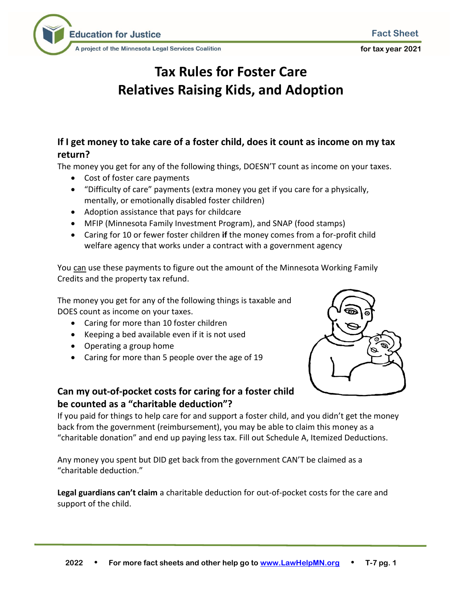**for tax year 2021**



# **Tax Rules for Foster Care Relatives Raising Kids, and Adoption**

# **If I get money to take care of a foster child, does it count as income on my tax return?**

The money you get for any of the following things, DOESN'T count as income on your taxes.

- Cost of foster care payments
- "Difficulty of care" payments (extra money you get if you care for a physically, mentally, or emotionally disabled foster children)
- Adoption assistance that pays for childcare
- MFIP (Minnesota Family Investment Program), and SNAP (food stamps)
- Caring for 10 or fewer foster children **if** the money comes from a for-profit child welfare agency that works under a contract with a government agency

You can use these payments to figure out the amount of the Minnesota Working Family Credits and the property tax refund.

The money you get for any of the following things is taxable and DOES count as income on your taxes.

- Caring for more than 10 foster children
- Keeping a bed available even if it is not used
- Operating a group home
- Caring for more than 5 people over the age of 19



### **Can my out-of-pocket costs for caring for a foster child be counted as a "charitable deduction"?**

If you paid for things to help care for and support a foster child, and you didn't get the money back from the government (reimbursement), you may be able to claim this money as a "charitable donation" and end up paying less tax. Fill out Schedule A, Itemized Deductions.

Any money you spent but DID get back from the government CAN'T be claimed as a "charitable deduction."

**Legal guardians can't claim** a charitable deduction for out-of-pocket costs for the care and support of the child.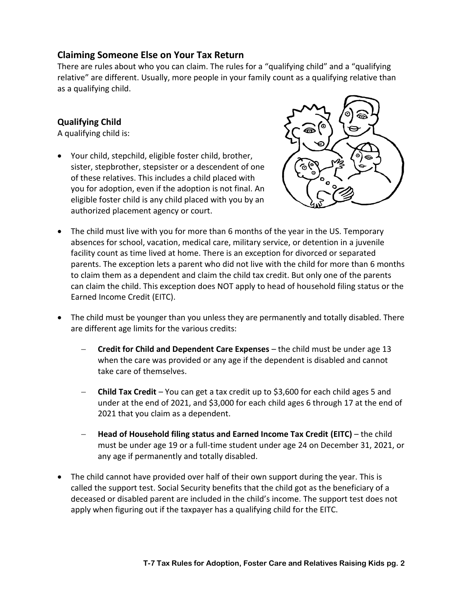## **Claiming Someone Else on Your Tax Return**

There are rules about who you can claim. The rules for a "qualifying child" and a "qualifying relative" are different. Usually, more people in your family count as a qualifying relative than as a qualifying child.

#### **Qualifying Child**

A qualifying child is:

• Your child, stepchild, eligible foster child, brother, sister, stepbrother, stepsister or a descendent of one of these relatives. This includes a child placed with you for adoption, even if the adoption is not final. An eligible foster child is any child placed with you by an authorized placement agency or court.



- The child must live with you for more than 6 months of the year in the US. Temporary absences for school, vacation, medical care, military service, or detention in a juvenile facility count as time lived at home. There is an exception for divorced or separated parents. The exception lets a parent who did not live with the child for more than 6 months to claim them as a dependent and claim the child tax credit. But only one of the parents can claim the child. This exception does NOT apply to head of household filing status or the Earned Income Credit (EITC).
- The child must be younger than you unless they are permanently and totally disabled. There are different age limits for the various credits:
	- − **Credit for Child and Dependent Care Expenses**  the child must be under age 13 when the care was provided or any age if the dependent is disabled and cannot take care of themselves.
	- − **Child Tax Credit** You can get a tax credit up to \$3,600 for each child ages 5 and under at the end of 2021, and \$3,000 for each child ages 6 through 17 at the end of 2021 that you claim as a dependent.
	- − **Head of Household filing status and Earned Income Tax Credit (EITC)** the child must be under age 19 or a full-time student under age 24 on December 31, 2021, or any age if permanently and totally disabled.
- The child cannot have provided over half of their own support during the year. This is called the support test. Social Security benefits that the child got as the beneficiary of a deceased or disabled parent are included in the child's income. The support test does not apply when figuring out if the taxpayer has a qualifying child for the EITC.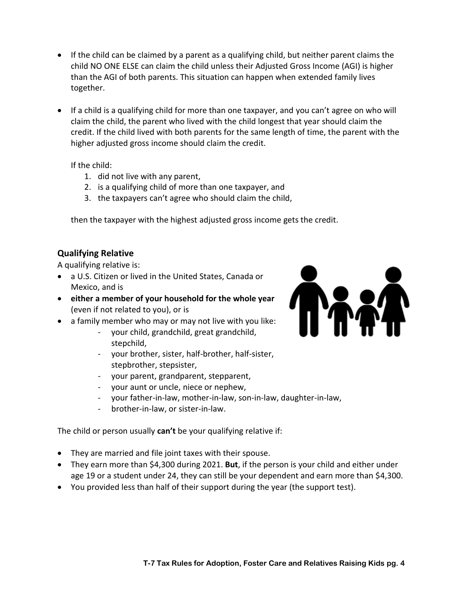- If the child can be claimed by a parent as a qualifying child, but neither parent claims the child NO ONE ELSE can claim the child unless their Adjusted Gross Income (AGI) is higher than the AGI of both parents. This situation can happen when extended family lives together.
- If a child is a qualifying child for more than one taxpayer, and you can't agree on who will claim the child, the parent who lived with the child longest that year should claim the credit. If the child lived with both parents for the same length of time, the parent with the higher adjusted gross income should claim the credit.

If the child:

- 1. did not live with any parent,
- 2. is a qualifying child of more than one taxpayer, and
- 3. the taxpayers can't agree who should claim the child,

then the taxpayer with the highest adjusted gross income gets the credit.

#### **Qualifying Relative**

A qualifying relative is:

- a U.S. Citizen or lived in the United States, Canada or Mexico, and is
- **either a member of your household for the whole year** (even if not related to you), or is
- a family member who may or may not live with you like:
	- your child, grandchild, great grandchild, stepchild,
	- your brother, sister, half-brother, half-sister, stepbrother, stepsister,
	- your parent, grandparent, stepparent,
	- your aunt or uncle, niece or nephew,
	- your father-in-law, mother-in-law, son-in-law, daughter-in-law,
	- brother-in-law, or sister-in-law.

The child or person usually **can't** be your qualifying relative if:

- They are married and file joint taxes with their spouse.
- They earn more than \$4,300 during 2021. **But**, if the person is your child and either under age 19 or a student under 24, they can still be your dependent and earn more than \$4,300.
- You provided less than half of their support during the year (the support test).

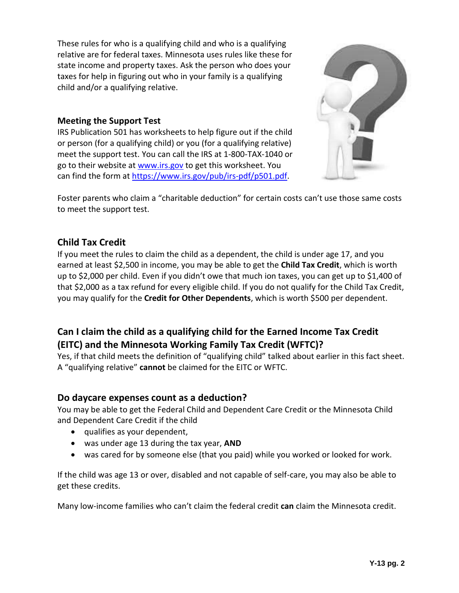These rules for who is a qualifying child and who is a qualifying relative are for federal taxes. Minnesota uses rules like these for state income and property taxes. Ask the person who does your taxes for help in figuring out who in your family is a qualifying child and/or a qualifying relative.

#### **Meeting the Support Test**

IRS Publication 501 has worksheets to help figure out if the child or person (for a qualifying child) or you (for a qualifying relative) meet the support test. You can call the IRS at 1-800-TAX-1040 or go to their website a[t www.irs.gov](http://www.irs.gov/) to get this worksheet. You can find the form at [https://www.irs.gov/pub/irs-pdf/p501.pdf.](https://www.irs.gov/pub/irs-pdf/p501.pdf)



Foster parents who claim a "charitable deduction" for certain costs can't use those same costs to meet the support test.

### **Child Tax Credit**

If you meet the rules to claim the child as a dependent, the child is under age 17, and you earned at least \$2,500 in income, you may be able to get the **Child Tax Credit**, which is worth up to \$2,000 per child. Even if you didn't owe that much ion taxes, you can get up to \$1,400 of that \$2,000 as a tax refund for every eligible child. If you do not qualify for the Child Tax Credit, you may qualify for the **Credit for Other Dependents**, which is worth \$500 per dependent.

# **Can I claim the child as a qualifying child for the Earned Income Tax Credit (EITC) and the Minnesota Working Family Tax Credit (WFTC)?**

Yes, if that child meets the definition of "qualifying child" talked about earlier in this fact sheet. A "qualifying relative" **cannot** be claimed for the EITC or WFTC.

### **Do daycare expenses count as a deduction?**

You may be able to get the Federal Child and Dependent Care Credit or the Minnesota Child and Dependent Care Credit if the child

- qualifies as your dependent,
- was under age 13 during the tax year, **AND**
- was cared for by someone else (that you paid) while you worked or looked for work.

If the child was age 13 or over, disabled and not capable of self-care, you may also be able to get these credits.

Many low-income families who can't claim the federal credit **can** claim the Minnesota credit.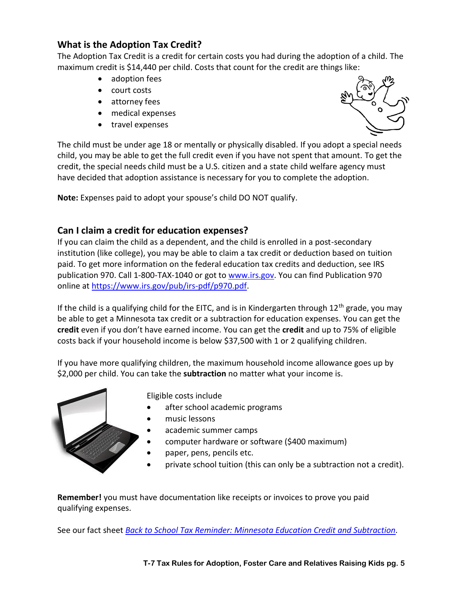# **What is the Adoption Tax Credit?**

The Adoption Tax Credit is a credit for certain costs you had during the adoption of a child. The maximum credit is \$14,440 per child. Costs that count for the credit are things like:

- adoption fees
- court costs
- attorney fees
- medical expenses
- travel expenses



The child must be under age 18 or mentally or physically disabled. If you adopt a special needs child, you may be able to get the full credit even if you have not spent that amount. To get the credit, the special needs child must be a U.S. citizen and a state child welfare agency must have decided that adoption assistance is necessary for you to complete the adoption.

**Note:** Expenses paid to adopt your spouse's child DO NOT qualify.

## **Can I claim a credit for education expenses?**

If you can claim the child as a dependent, and the child is enrolled in a post-secondary institution (like college), you may be able to claim a tax credit or deduction based on tuition paid. To get more information on the federal education tax credits and deduction, see IRS publication 970. Call 1-800-TAX-1040 or got t[o www.irs.gov.](http://www.irs.gov/) You can find Publication 970 online at [https://www.irs.gov/pub/irs-pdf/p970.pdf.](https://www.irs.gov/pub/irs-pdf/p970.pdf)

If the child is a qualifying child for the EITC, and is in Kindergarten through  $12<sup>th</sup>$  grade, you may be able to get a Minnesota tax credit or a subtraction for education expenses. You can get the **credit** even if you don't have earned income. You can get the **credit** and up to 75% of eligible costs back if your household income is below \$37,500 with 1 or 2 qualifying children.

If you have more qualifying children, the maximum household income allowance goes up by \$2,000 per child. You can take the **subtraction** no matter what your income is.



Eligible costs include

- after school academic programs
- music lessons
- academic summer camps
- computer hardware or software (\$400 maximum)
- paper, pens, pencils etc.
- private school tuition (this can only be a subtraction not a credit).

**Remember!** you must have documentation like receipts or invoices to prove you paid qualifying expenses.

See our fact sheet *[Back to School Tax Reminder: Minnesota Education Credit and Subtraction.](https://www.lawhelpmn.org/self-help-library/fact-sheet/back-school-tax-reminder-minnesota-education-credit-and-subtraction)*